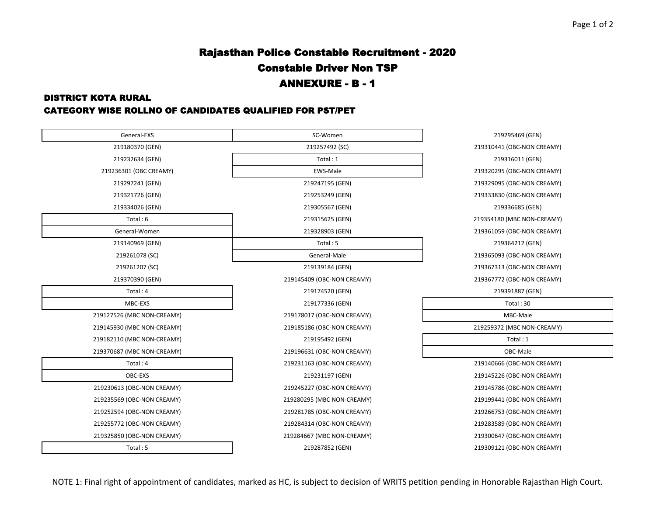## Rajasthan Police Constable Recruitment - 2020 Constable Driver Non TSP ANNEXURE - B - 1

#### DISTRICT KOTA RURAL

#### CATEGORY WISE ROLLNO OF CANDIDATES QUALIFIED FOR PST/PET

| General-EXS                | SC-Women                   | 219295469 (GEN)       |
|----------------------------|----------------------------|-----------------------|
| 219180370 (GEN)            | 219257492 (SC)             | 219310441 (OBC-NON CI |
| 219232634 (GEN)            | Total: 1                   | 219316011 (GEN)       |
| 219236301 (OBC CREAMY)     | <b>EWS-Male</b>            | 219320295 (OBC-NON CI |
| 219297241 (GEN)            | 219247195 (GEN)            | 219329095 (OBC-NON CI |
| 219321726 (GEN)            | 219253249 (GEN)            | 219333830 (OBC-NON CI |
| 219334026 (GEN)            | 219305567 (GEN)            | 219336685 (GEN)       |
| Total: 6                   | 219315625 (GEN)            | 219354180 (MBC NON-C  |
| General-Women              | 219328903 (GEN)            | 219361059 (OBC-NON CI |
| 219140969 (GEN)            | Total: 5                   | 219364212 (GEN)       |
| 219261078 (SC)             | General-Male               | 219365093 (OBC-NON CI |
| 219261207 (SC)             | 219139184 (GEN)            | 219367313 (OBC-NON CI |
| 219370390 (GEN)            | 219145409 (OBC-NON CREAMY) | 219367772 (OBC-NON CI |
| Total: 4                   | 219174520 (GEN)            | 219391887 (GEN)       |
| MBC-EXS                    | 219177336 (GEN)            | Total: 30             |
| 219127526 (MBC NON-CREAMY) | 219178017 (OBC-NON CREAMY) | MBC-Male              |
| 219145930 (MBC NON-CREAMY) | 219185186 (OBC-NON CREAMY) | 219259372 (MBC NON-CI |
| 219182110 (MBC NON-CREAMY) | 219195492 (GEN)            | Total: 1              |
| 219370687 (MBC NON-CREAMY) | 219196631 (OBC-NON CREAMY) | OBC-Male              |
| Total: 4                   | 219231163 (OBC-NON CREAMY) | 219140666 (OBC-NON CI |
| OBC-EXS                    | 219231197 (GEN)            | 219145226 (OBC-NON CI |
| 219230613 (OBC-NON CREAMY) | 219245227 (OBC-NON CREAMY) | 219145786 (OBC-NON CI |
| 219235569 (OBC-NON CREAMY) | 219280295 (MBC NON-CREAMY) | 219199441 (OBC-NON CI |
| 219252594 (OBC-NON CREAMY) | 219281785 (OBC-NON CREAMY) | 219266753 (OBC-NON CI |
| 219255772 (OBC-NON CREAMY) | 219284314 (OBC-NON CREAMY) | 219283589 (OBC-NON CI |
| 219325850 (OBC-NON CREAMY) | 219284667 (MBC NON-CREAMY) | 219300647 (OBC-NON CI |
| Total: 5                   | 219287852 (GEN)            | 219309121 (OBC-NON CI |
|                            |                            |                       |

219295469 (GEN) 219310441 (OBC-NON CREAMY) 219320295 (OBC-NON CREAMY) 219329095 (OBC-NON CREAMY) 219333830 (OBC-NON CREAMY) 219334026 (GEN) 219305567 (GEN) 219336685 (GEN) 219354180 (MBC NON-CREAMY) 219361059 (OBC-NON CREAMY) 219364212 (GEN) 219365093 (OBC-NON CREAMY) 219367313 (OBC-NON CREAMY) 219367772 (OBC-NON CREAMY) 219391887 (GEN) 219259372 (MBC NON-CREAMY) 219140666 (OBC-NON CREAMY) 219145226 (OBC-NON CREAMY) 219145786 (OBC-NON CREAMY) 219199441 (OBC-NON CREAMY) 219266753 (OBC-NON CREAMY) 219283589 (OBC-NON CREAMY) 219300647 (OBC-NON CREAMY)

219309121 (OBC-NON CREAMY)